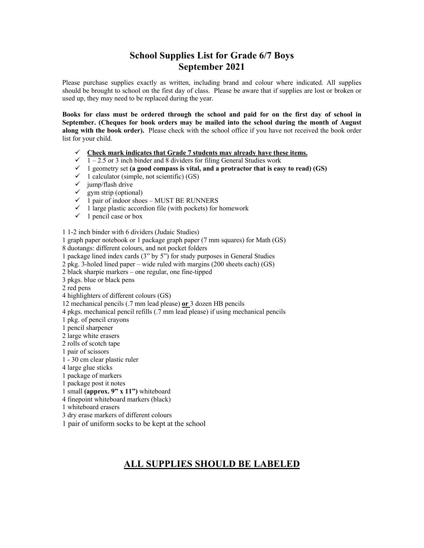## **School Supplies List for Grade 6/7 Boys September 2021**

Please purchase supplies exactly as written, including brand and colour where indicated. All supplies should be brought to school on the first day of class. Please be aware that if supplies are lost or broken or used up, they may need to be replaced during the year.

**Books for class must be ordered through the school and paid for on the first day of school in September. (Cheques for book orders may be mailed into the school during the month of August along with the book order).** Please check with the school office if you have not received the book order list for your child.

- $\checkmark$  Check mark indicates that Grade 7 students may already have these items.
- $\checkmark$  1 2.5 or 3 inch binder and 8 dividers for filing General Studies work
- $\checkmark$  1 geometry set (a good compass is vital, and a protractor that is easy to read) (GS)
- $\checkmark$  1 calculator (simple, not scientific) (GS)
- $\checkmark$  jump/flash drive
- $\checkmark$  gym strip (optional)
- $\checkmark$  1 pair of indoor shoes MUST BE RUNNERS
- $\checkmark$  1 large plastic accordion file (with pockets) for homework
- $\checkmark$  1 pencil case or box

1 1-2 inch binder with 6 dividers (Judaic Studies)

1 graph paper notebook or 1 package graph paper (7 mm squares) for Math (GS)

8 duotangs: different colours, and not pocket folders

1 package lined index cards (3" by 5") for study purposes in General Studies

2 pkg. 3-holed lined paper – wide ruled with margins (200 sheets each) (GS)

2 black sharpie markers – one regular, one fine-tipped

3 pkgs. blue or black pens

2 red pens

4 highlighters of different colours (GS)

12 mechanical pencils (.7 mm lead please) **or** 3 dozen HB pencils

4 pkgs. mechanical pencil refills (.7 mm lead please) if using mechanical pencils

1 pkg. of pencil crayons

1 pencil sharpener

2 large white erasers

2 rolls of scotch tape

1 pair of scissors

1 - 30 cm clear plastic ruler

4 large glue sticks

1 package of markers

1 package post it notes

1 small **(approx. 9" x 11")** whiteboard

4 finepoint whiteboard markers (black)

1 whiteboard erasers

3 dry erase markers of different colours

1 pair of uniform socks to be kept at the school

## **ALL SUPPLIES SHOULD BE LABELED**